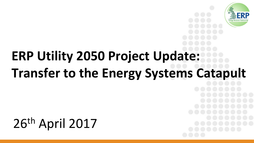

# **ERP Utility 2050 Project Update: Transfer to the Energy Systems Catapult**

## 26th April 2017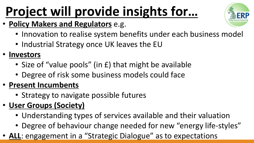# **Project will provide insights for...**

- **Policy Makers and Regulators** e.g.
	- Innovation to realise system benefits under each business model
	- Industrial Strategy once UK leaves the EU
- **Investors**
	- Size of "value pools" (in £) that might be available
	- Degree of risk some business models could face
- **Present Incumbents**
	- Strategy to navigate possible futures
- **User Groups (Society)**
	- Understanding types of services available and their valuation
	- Degree of behaviour change needed for new "energy life-styles"
- **ALL**: engagement in a "Strategic Dialogue" as to expectations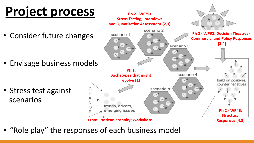# **Project process**

• Consider future changes

• Envisage business models

• Stress test against scenarios



• "Role play" the responses of each business model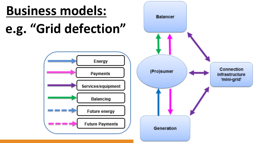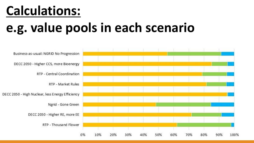### **Calculations:**

### **e.g. value pools in each scenario**

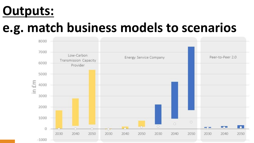#### **Outputs:**

### **e.g. match business models to scenarios**

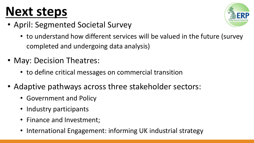## **Next steps**

- April: Segmented Societal Survey
	- to understand how different services will be valued in the future (survey completed and undergoing data analysis)
- May: Decision Theatres:
	- to define critical messages on commercial transition
- Adaptive pathways across three stakeholder sectors:
	- Government and Policy
	- Industry participants
	- Finance and Investment;
	- International Engagement: informing UK industrial strategy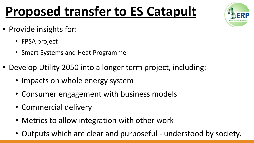## **Proposed transfer to ES Catapult**

- Provide insights for:
	- FPSA project
	- Smart Systems and Heat Programme
- Develop Utility 2050 into a longer term project, including:
	- Impacts on whole energy system
	- Consumer engagement with business models
	- Commercial delivery
	- Metrics to allow integration with other work
	- Outputs which are clear and purposeful understood by society.